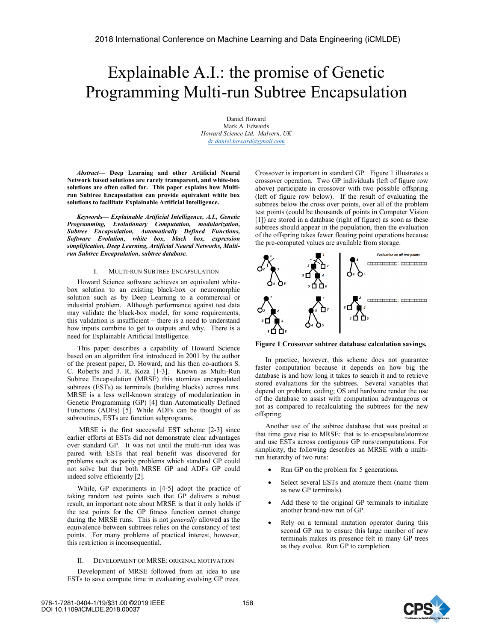# Explainable A.I.: the promise of Genetic Programming Multi-run Subtree Encapsulation

Daniel Howard Mark A. Edwards *Howard Science Ltd, Malvern, UK dr.daniel.howard@gmail.com*

*Abstract***— Deep Learning and other Artificial Neural Network based solutions are rarely transparent, and white-box solutions are often called for. This paper explains how Multirun Subtree Encapsulation can provide equivalent white box solutions to facilitate Explainable Artificial Intelligence.** 

*Keywords— Explainable Artificial Intelligence, A.I., Genetic Programming, Evolutionary Computation, modularization, Subtree Encapsulation, Automatically Defined Functions, Software Evolution, white box, black box, expression simplification, Deep Learning, Artificial Neural Networks, Multirun Subtree Encapsulation, subtree database.* 

## I. MULTI-RUN SUBTREE ENCAPSULATION

Howard Science software achieves an equivalent whitebox solution to an existing black-box or neuromorphic solution such as by Deep Learning to a commercial or industrial problem. Although performance against test data may validate the black-box model, for some requirements, this validation is insufficient – there is a need to understand how inputs combine to get to outputs and why. There is a need for Explainable Artificial Intelligence.

This paper describes a capability of Howard Science based on an algorithm first introduced in 2001 by the author of the present paper, D. Howard, and his then co-authors S. C. Roberts and J. R. Koza [1-3]. Known as Multi-Run Subtree Encapsulation (MRSE) this atomizes encapsulated subtrees (ESTs) as terminals (building blocks) across runs. MRSE is a less well-known strategy of modularization in Genetic Programming (GP) [4] than Automatically Defined Functions (ADFs) [5]. While ADFs can be thought of as subroutines, ESTs are function subprograms.

 MRSE is the first successful EST scheme [2-3] since earlier efforts at ESTs did not demonstrate clear advantages over standard GP. It was not until the multi-run idea was paired with ESTs that real benefit was discovered for problems such as parity problems which standard GP could not solve but that both MRSE GP and ADFs GP could indeed solve efficiently [2].

While, GP experiments in [4-5] adopt the practice of taking random test points such that GP delivers a robust result, an important note about MRSE is that it only holds if the test points for the GP fitness function cannot change during the MRSE runs. This is not *generally* allowed as the equivalence between subtrees relies on the constancy of test points. For many problems of practical interest, however, this restriction is inconsequential.

## II. DEVELOPMENT OF MRSE: ORIGINAL MOTIVATION

Development of MRSE followed from an idea to use ESTs to save compute time in evaluating evolving GP trees.

Crossover is important in standard GP. Figure 1 illustrates a crossover operation. Two GP individuals (left of figure row above) participate in crossover with two possible offspring (left of figure row below). If the result of evaluating the subtrees below the cross over points, over all of the problem test points (could be thousands of points in Computer Vision [1]) are stored in a database (right of figure) as soon as these subtrees should appear in the population, then the evaluation of the offspring takes fewer floating point operations because the pre-computed values are available from storage.





In practice, however, this scheme does not guarantee faster computation because it depends on how big the database is and how long it takes to search it and to retrieve stored evaluations for the subtrees. Several variables that depend on problem; coding; OS and hardware render the use of the database to assist with computation advantageous or not as compared to recalculating the subtrees for the new offspring.

Another use of the subtree database that was posited at that time gave rise to MRSE: that is to encapsulate/atomize and use ESTs across contiguous GP runs/computations. For simplicity, the following describes an MRSE with a multirun hierarchy of two runs:

- Run GP on the problem for 5 generations.
- Select several ESTs and atomize them (name them as new GP terminals).
- Add these to the original GP terminals to initialize another brand-new run of GP.
- Rely on a terminal mutation operator during this second GP run to ensure this large number of new terminals makes its presence felt in many GP trees as they evolve. Run GP to completion.